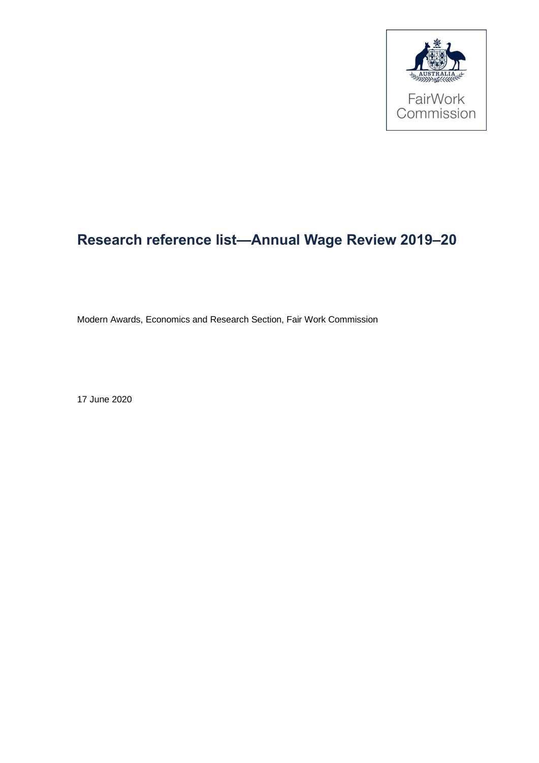

# **Research reference list—Annual Wage Review 2019–20**

Modern Awards, Economics and Research Section, Fair Work Commission

17 June 2020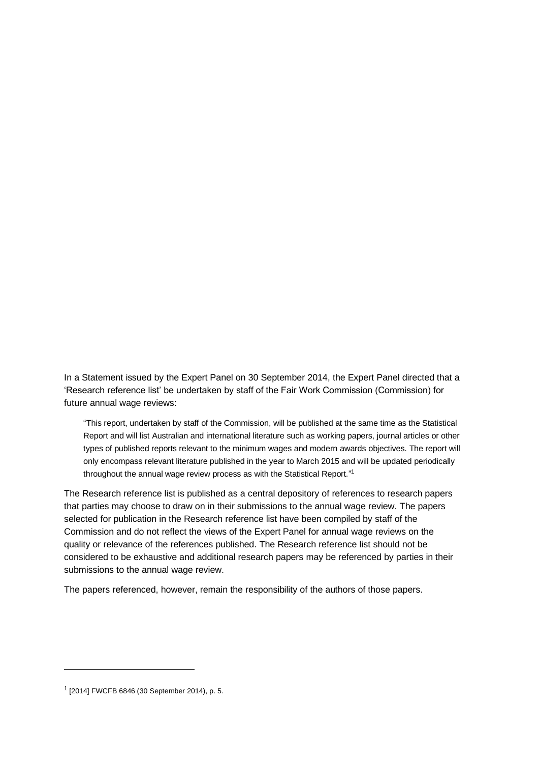In a Statement issued by the Expert Panel on 30 September 2014, the Expert Panel directed that a 'Research reference list' be undertaken by staff of the Fair Work Commission (Commission) for future annual wage reviews:

"This report, undertaken by staff of the Commission, will be published at the same time as the Statistical Report and will list Australian and international literature such as working papers, journal articles or other types of published reports relevant to the minimum wages and modern awards objectives. The report will only encompass relevant literature published in the year to March 2015 and will be updated periodically throughout the annual wage review process as with the Statistical Report."<sup>1</sup>

The Research reference list is published as a central depository of references to research papers that parties may choose to draw on in their submissions to the annual wage review. The papers selected for publication in the Research reference list have been compiled by staff of the Commission and do not reflect the views of the Expert Panel for annual wage reviews on the quality or relevance of the references published. The Research reference list should not be considered to be exhaustive and additional research papers may be referenced by parties in their submissions to the annual wage review.

The papers referenced, however, remain the responsibility of the authors of those papers.

<sup>1</sup> [2014] FWCFB 6846 (30 September 2014), p. 5.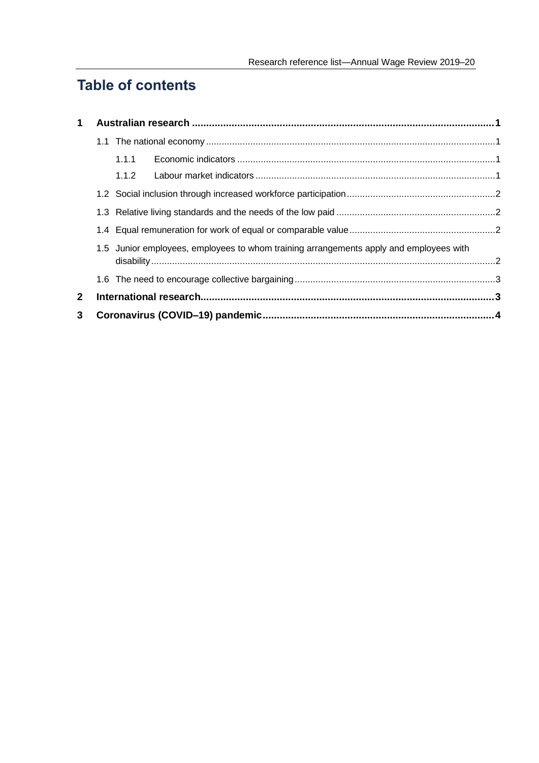## **Table of contents**

| $\mathbf{1}$ |                                                                                        |       |  |  |
|--------------|----------------------------------------------------------------------------------------|-------|--|--|
|              |                                                                                        |       |  |  |
|              |                                                                                        | 1.1.1 |  |  |
|              |                                                                                        | 1.1.2 |  |  |
|              |                                                                                        |       |  |  |
|              |                                                                                        |       |  |  |
|              | 1.5 Junior employees, employees to whom training arrangements apply and employees with |       |  |  |
|              |                                                                                        |       |  |  |
|              |                                                                                        |       |  |  |
| $\mathbf{2}$ |                                                                                        |       |  |  |
| 3            |                                                                                        |       |  |  |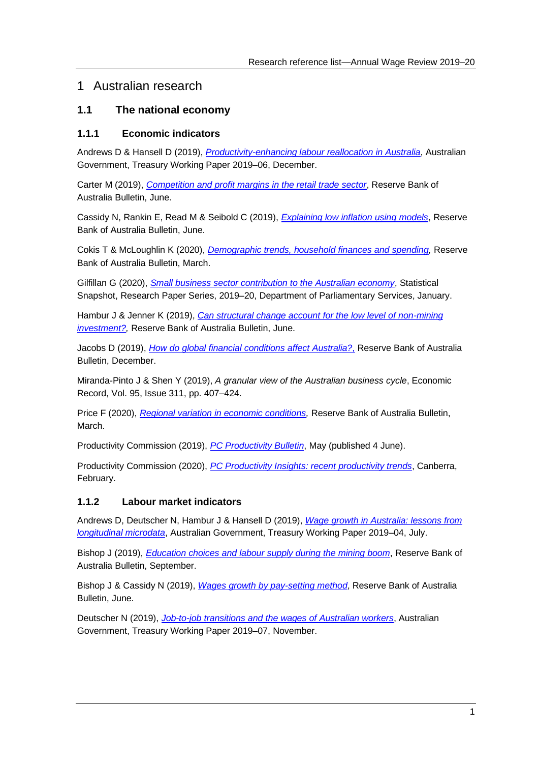## <span id="page-3-0"></span>1 Australian research

#### <span id="page-3-1"></span>**1.1 The national economy**

#### <span id="page-3-2"></span>**1.1.1 Economic indicators**

Andrews D & Hansell D (2019), *[Productivity-enhancing labour reallocation in Australia](http://www.treasury.gov.au/sites/default/files/2019-11/p2019-37418-productivity_0.pdf)*, Australian Government, Treasury Working Paper 2019–06, December.

Carter M (2019), *[Competition and profit margins in the retail trade sector](https://www.rba.gov.au/publications/bulletin/2019/jun/pdf/competition-and-profit-margins-in-the-retail-trade-sector.pdf)*, Reserve Bank of Australia Bulletin, June.

Cassidy N, Rankin E, Read M & Seibold C (2019), *[Explaining low inflation using models](https://www.rba.gov.au/publications/bulletin/2019/jun/pdf/explaining-low-inflation-using-models.pdf)*, Reserve Bank of Australia Bulletin, June.

Cokis T & McLoughlin K (2020), *[Demographic trends, household finances and spending,](https://www.fwc.gov.au/documents/wage-reviews/2019-20/research/demographic-trends-household-finances-and-spending.pdf)* Reserve Bank of Australia Bulletin, March.

Gilfillan G (2020), *[Small business sector contribution to the Australian economy](https://parlinfo.aph.gov.au/parlInfo/download/library/prspub/7117046/upload_binary/7117046.pdf)*, Statistical Snapshot, Research Paper Series, 2019–20, Department of Parliamentary Services, January.

Hambur J & Jenner K (2019), *[Can structural change account for the low level of non-mining](https://www.rba.gov.au/publications/bulletin/2019/jun/pdf/can-structural-change-account-for-the-low-level-of-non-mining-investment.pdf) investment?*, Reserve Bank of Australia Bulletin, June.

Jacobs D (2019), *[How do global financial conditions affect Australia?](https://www.rba.gov.au/publications/bulletin/2019/dec/pdf/how-do-global-financial-conditions-affect-australia.pdf)*, Reserve Bank of Australia Bulletin, December.

Miranda-Pinto J & Shen Y (2019), *A granular view of the Australian business cycle*, Economic Record, Vol. 95, Issue 311, pp. 407–424.

Price F (2020), *Regional variation in economic conditions*, Reserve Bank of Australia Bulletin, March.

Productivity Commission (2019), *[PC Productivity Bulletin](https://www.pc.gov.au/research/ongoing/productivity-bulletin/2019/productivity-bulletin-2019.pdf)*, May (published 4 June).

Productivity Commission (2020), *[PC Productivity Insights: recent productivity trends](https://www.pc.gov.au/research/ongoing/productivity-insights/recent-productivity-trends/productivity-insights-2020-productivity-trends.pdf)*, Canberra, February.

#### <span id="page-3-3"></span>**1.1.2 Labour market indicators**

Andrews D, Deutscher N, Hambur J & Hansell D (2019), *[Wage growth in Australia: lessons from](https://treasury.gov.au/sites/default/files/2019-07/2019-04_wage_growth_in_australia_lessons_from_longitudinal_microdata.pdf)  [longitudinal microdata](https://treasury.gov.au/sites/default/files/2019-07/2019-04_wage_growth_in_australia_lessons_from_longitudinal_microdata.pdf)*, Australian Government, Treasury Working Paper 2019–04, July.

Bishop J (2019), *[Education choices and labour supply during the mining boom](https://www.rba.gov.au/publications/bulletin/2019/sep/pdf/education-choices-and-labour-supply-during-the-mining-boom.pdf)*, Reserve Bank of Australia Bulletin, September.

Bishop J & Cassidy N (2019), *[Wages growth by pay-setting method](https://www.rba.gov.au/publications/bulletin/2019/jun/pdf/wages-growth-by-pay-setting-method.pdf)*, Reserve Bank of Australia Bulletin, June.

Deutscher N (2019), *[Job-to-job transitions and the wages of Australian workers](https://treasury.gov.au/sites/default/files/2019-11/p2019-37418-jobswitching-v2.pdf)*, Australian Government, Treasury Working Paper 2019–07, November.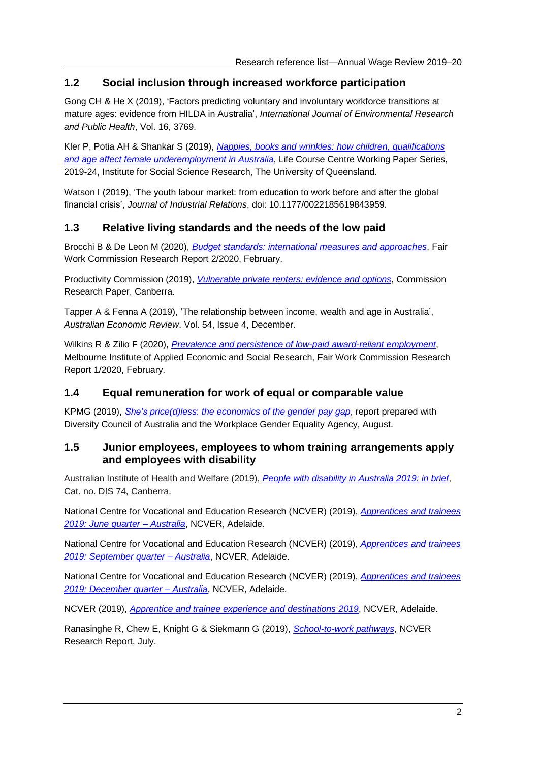### <span id="page-4-0"></span>**1.2 Social inclusion through increased workforce participation**

Gong CH & He X (2019), 'Factors predicting voluntary and involuntary workforce transitions at mature ages: evidence from HILDA in Australia', *International Journal of Environmental Research and Public Health*, Vol. 16, 3769.

Kler P, Potia AH & Shankar S (2019), *[Nappies, books and wrinkles: how children,](https://www.lifecoursecentre.org.au/wp-content/uploads/2019/12/2019-24-LCC-Working-Paper-Kler-et-al.pdf) qualifications [and age affect female underemployment in Australia](https://www.lifecoursecentre.org.au/wp-content/uploads/2019/12/2019-24-LCC-Working-Paper-Kler-et-al.pdf)*, Life Course Centre Working Paper Series, 2019-24, Institute for Social Science Research, The University of Queensland.

Watson I (2019), 'The youth labour market: from education to work before and after the global financial crisis', *Journal of Industrial Relations*, doi: 10.1177/0022185619843959.

#### <span id="page-4-1"></span>**1.3 Relative living standards and the needs of the low paid**

Brocchi B & De Leon M (2020), *[Budget standards: international measures and approaches](https://www.fwc.gov.au/documents/wage-reviews/2019-20/research/rr22020.pdf)*, Fair Work Commission Research Report 2/2020, February.

Productivity Commission (2019), *[Vulnerable private renters: evidence and options](https://www.pc.gov.au/research/completed/renters/private-renters.pdf)*, Commission Research Paper, Canberra.

Tapper A & Fenna A (2019), 'The relationship between income, wealth and age in Australia', *Australian Economic Review*, Vol. 54, Issue 4, December.

Wilkins R & Zilio F (2020), *[Prevalence and persistence of low-paid award-reliant employment](https://www.fwc.gov.au/documents/wage-reviews/2019-20/research/rr12020.pdf)*, Melbourne Institute of Applied Economic and Social Research, Fair Work Commission Research Report 1/2020, February.

#### <span id="page-4-2"></span>**1.4 Equal remuneration for work of equal or comparable value**

KPMG (2019), *She's price(d)less*: *[the economics of the gender pay gap](https://assets.kpmg/content/dam/kpmg/au/pdf/2019/gender-pay-gap-economics-full-report-2019.pdf)*, report prepared with Diversity Council of Australia and the Workplace Gender Equality Agency, August.

#### <span id="page-4-3"></span>**1.5 Junior employees, employees to whom training arrangements apply and employees with disability**

Australian Institute of Health and Welfare (2019), *[People with disability in Australia 2019: in brief](https://www.aihw.gov.au/getmedia/3bc5f549-216e-4199-9a82-fba1bba9208f/aihw-dis-74.pdf.aspx?inline=true)*, Cat. no. DIS 74, Canberra.

National Centre for Vocational and Education Research (NCVER) (2019), *[Apprentices and trainees](https://www.ncver.edu.au/__data/assets/pdf_file/0036/8252676/A-and-T_June-QTR-2019_AUST.pdf)  [2019: June quarter –](https://www.ncver.edu.au/__data/assets/pdf_file/0036/8252676/A-and-T_June-QTR-2019_AUST.pdf) Australia*, NCVER, Adelaide.

National Centre for Vocational and Education Research (NCVER) (2019), *[Apprentices and trainees](https://www.ncver.edu.au/research-and-statistics/publications/all-publications/apprentices-and-trainees-2019-september-quarter-australia)  [2019: September quarter –](https://www.ncver.edu.au/research-and-statistics/publications/all-publications/apprentices-and-trainees-2019-september-quarter-australia) Australia*, NCVER, Adelaide.

National Centre for Vocational and Education Research (NCVER) (2019), *[Apprentices and trainees](https://www.ncver.edu.au/research-and-statistics/publications/all-publications/apprentices-and-trainees-2019-september-quarter-australia)  [2019: December quarter –](https://www.ncver.edu.au/research-and-statistics/publications/all-publications/apprentices-and-trainees-2019-september-quarter-australia) Australia*, NCVER, Adelaide.

NCVER (2019), *[Apprentice and trainee experience and destinations](https://www.ncver.edu.au/__data/assets/pdf_file/0037/8379181/Apprentice_and_trainee_experience_and_destinations_2019.pdf) 2019*, NCVER, Adelaide.

Ranasinghe R, Chew E, Knight G & Siekmann G (2019), *[School-to-work pathways](https://www.ncver.edu.au/__data/assets/pdf_file/0029/6547412/School_to_work_pathways.pdf)*, NCVER Research Report, July.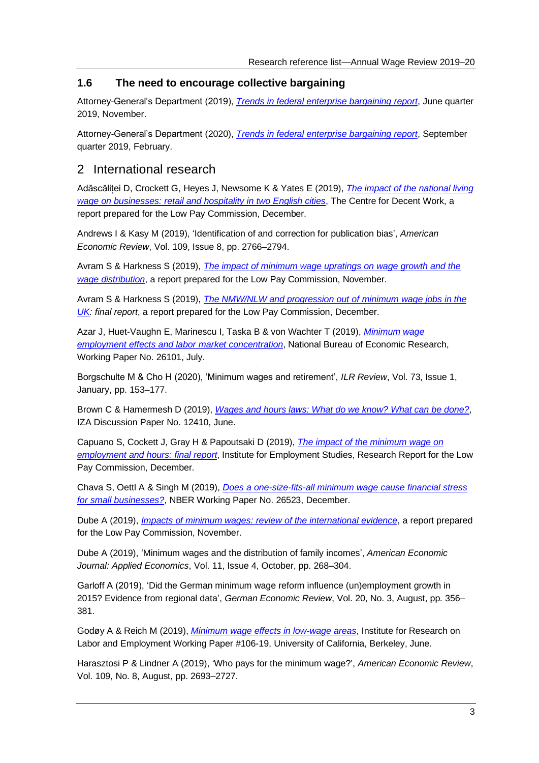#### <span id="page-5-0"></span>**1.6 The need to encourage collective bargaining**

Attorney-General's Department (2019), *[Trends in federal enterprise bargaining](https://www.ag.gov.au/industrial-relations/industrial-relations-publications/Documents/trends-report-june-quarter-2019.pdf) report*, June quarter 2019, November.

Attorney-General's Department (2020), *[Trends in federal enterprise bargaining report](https://www.ag.gov.au/industrial-relations/enterprise-agreements-data/Documents/trends-federal-enterprise-bargaining-report-september-2019.pdf)*, September quarter 2019, February.

## <span id="page-5-1"></span>2 International research

Adăscăliței D, Crockett G, Heyes J, Newsome K & Yates E (2019), *[The impact of the national living](https://assets.publishing.service.gov.uk/government/uploads/system/uploads/attachment_data/file/852510/The_impact_of_the_NLW_on_businesses_-_retail_and_hospitality_in_two_English_cities.pdf)  [wage on businesses: retail and hospitality in two English cities](https://assets.publishing.service.gov.uk/government/uploads/system/uploads/attachment_data/file/852510/The_impact_of_the_NLW_on_businesses_-_retail_and_hospitality_in_two_English_cities.pdf)*, The Centre for Decent Work, a report prepared for the Low Pay Commission, December.

Andrews I & Kasy M (2019), 'Identification of and correction for publication bias', *American Economic Review*, Vol. 109, Issue 8, pp. 2766–2794.

Avram S & Harkness S (2019), *[The impact of minimum wage upratings on wage growth and the](https://assets.publishing.service.gov.uk/government/uploads/system/uploads/attachment_data/file/852505/The_impact_of_minimum_wage_upratings_on_wage_growth_and_the_wage_distribution.pdf)  [wage distribution](https://assets.publishing.service.gov.uk/government/uploads/system/uploads/attachment_data/file/852505/The_impact_of_minimum_wage_upratings_on_wage_growth_and_the_wage_distribution.pdf)*, a report prepared for the Low Pay Commission, November.

Avram S & Harkness S (2019), *[The NMW/NLW and progression out of minimum wage jobs in the](https://assets.publishing.service.gov.uk/government/uploads/system/uploads/attachment_data/file/852506/The_NMW__NLW_and_progression_out_of_minimum_wage_jobs_in_the_UK.pdf)  [UK:](https://assets.publishing.service.gov.uk/government/uploads/system/uploads/attachment_data/file/852506/The_NMW__NLW_and_progression_out_of_minimum_wage_jobs_in_the_UK.pdf) final report*, a report prepared for the Low Pay Commission, December.

Azar J, Huet-Vaughn E, Marinescu I, Taska B & von Wachter T (2019), *[Minimum wage](https://www.nber.org/papers/w26101)  [employment effects and labor market concentration](https://www.nber.org/papers/w26101)*, National Bureau of Economic Research, Working Paper No. 26101, July.

Borgschulte M & Cho H (2020), 'Minimum wages and retirement', *ILR Review*, Vol. 73, Issue 1, January, pp. 153–177.

Brown C & Hamermesh D (2019), *[Wages and hours laws: What do we know? What can be done?](http://ftp.iza.org/dp12410.pdf)*, IZA Discussion Paper No. 12410, June.

Capuano S, Cockett J, Gray H & Papoutsaki D (2019), *[The impact of the minimum wage on](https://assets.publishing.service.gov.uk/government/uploads/system/uploads/attachment_data/file/852508/The_impact_of_the_minimum_wage_on_employment_and_hours.pdf)  [employment and hours: final report](https://assets.publishing.service.gov.uk/government/uploads/system/uploads/attachment_data/file/852508/The_impact_of_the_minimum_wage_on_employment_and_hours.pdf)*, Institute for Employment Studies, Research Report for the Low Pay Commission, December.

Chava S, Oettl A & Singh M (2019), *[Does a one-size-fits-all minimum wage cause financial stress](https://www.nber.org/papers/w26523)  [for small businesses?](https://www.nber.org/papers/w26523)*, NBER Working Paper No. 26523, December.

Dube A (2019), *[Impacts of minimum wages: review of the international evidence](https://assets.publishing.service.gov.uk/government/uploads/system/uploads/attachment_data/file/844350/impacts_of_minimum_wages_review_of_the_international_evidence_Arindrajit_Dube_web.pdf)*, a report prepared for the Low Pay Commission, November.

Dube A (2019), 'Minimum wages and the distribution of family incomes', *American Economic Journal: Applied Economics*, Vol. 11, Issue 4, October, pp. 268–304.

Garloff A (2019), 'Did the German minimum wage reform influence (un)employment growth in 2015? Evidence from regional data', *German Economic Review*, Vol. 20, No. 3, August, pp. 356– 381.

Godøy A & Reich M (2019), *[Minimum wage effects in low-wage areas](https://irle.berkeley.edu/files/2019/07/Minimum-Wage-Effects-in-Low-Wage-Areas.pdf)*, Institute for Research on Labor and Employment Working Paper #106-19, University of California, Berkeley, June.

Harasztosi P & Lindner A (2019), 'Who pays for the minimum wage?', *American Economic Review*, Vol. 109, No. 8, August, pp. 2693–2727.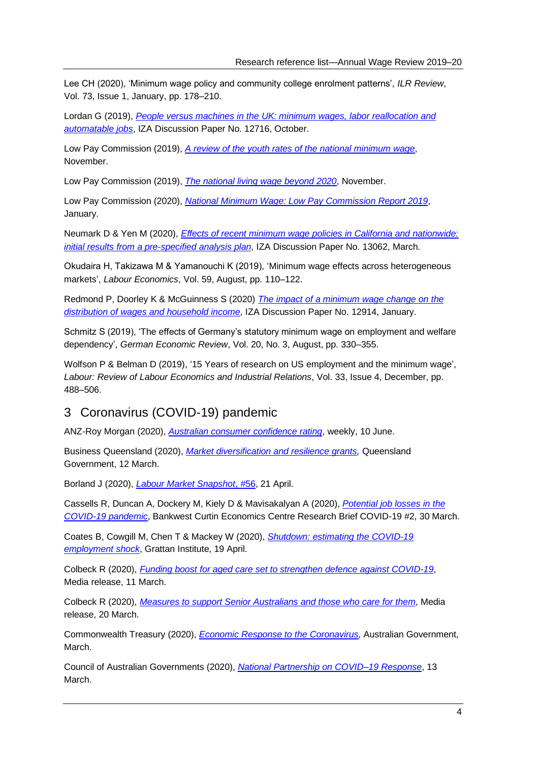Lee CH (2020), 'Minimum wage policy and community college enrolment patterns', *ILR Review*, Vol. 73, Issue 1, January, pp. 178–210.

Lordan G (2019), *People versus machines in the [UK: minimum wages, labor reallocation and](http://ftp.iza.org/dp12716.pdf)  [automatable jobs](http://ftp.iza.org/dp12716.pdf)*, IZA Discussion Paper No. 12716, October.

Low Pay Commission (2019), *A review of [the youth rates of the national minimum wage](https://www.gov.uk/government/publications/a-review-of-the-youth-rates-of-the-national-minimum-wage)*, November.

Low Pay Commission (2019), *[The national living wage beyond 2020](https://assets.publishing.service.gov.uk/government/uploads/system/uploads/attachment_data/file/844178/The_National_Living_Wage_Beyond_2020__1_.pdf)*, November.

Low Pay Commission (2020), *[National Minimum Wage: Low Pay Commission Report](https://assets.publishing.service.gov.uk/government/uploads/system/uploads/attachment_data/file/856590/LPC_Report_2019.pdf) 2019*, January.

Neumark D & Yen M (2020), *[Effects of recent minimum wage policies in California and nationwide:](http://ftp.iza.org/dp13062.pdf)  [initial results from a pre-specified analysis plan](http://ftp.iza.org/dp13062.pdf)*, IZA Discussion Paper No. 13062, March.

Okudaira H, Takizawa M & Yamanouchi K (2019), 'Minimum wage effects across heterogeneous markets', *Labour Economics*, Vol. 59, August, pp. 110–122.

Redmond P, Doorley K & McGuinness S (2020) *[The impact of a minimum wage change on the](http://ftp.iza.org/dp12914.pdf)  [distribution of wages and household income](http://ftp.iza.org/dp12914.pdf)*, IZA Discussion Paper No. 12914, January.

Schmitz S (2019), 'The effects of Germany's statutory minimum wage on employment and welfare dependency', *German Economic Review*, Vol. 20, No. 3, August, pp. 330–355.

Wolfson P & Belman D (2019), '15 Years of research on US employment and the minimum wage', *Labour: Review of Labour Economics and Industrial Relations*, Vol. 33, Issue 4, December, pp. 488–506.

## <span id="page-6-0"></span>3 Coronavirus (COVID-19) pandemic

ANZ-Roy Morgan (2020), *[Australian consumer confidence rating](https://www.roymorgan.com/findings/8435-anz-roy-morgan-consumer-confidence-june-10-2020-202006092341)*, weekly, 10 June.

Business Queensland (2020), *[Market diversification and resilience grants,](https://www.business.qld.gov.au/industries/farms-fishing-forestry/agriculture/agribusiness/market-diversification-resilience-grants)* Queensland Government, 12 March.

Borland J (2020), *[Labour Market Snapshot](https://drive.google.com/file/d/1azG0Sg7ezMtssRh_p05xFk0WspTJmpde/view)*, #56, 21 April.

Cassells R, Duncan A, Dockery M, Kiely D & Mavisakalyan A (2020), *[Potential job losses in the](https://bcec.edu.au/assets/2020/03/BCEC-COVID19-Brief-2_Potential-Job-losses_FINAL-2.pdf)  [COVID-19 pandemic](https://bcec.edu.au/assets/2020/03/BCEC-COVID19-Brief-2_Potential-Job-losses_FINAL-2.pdf)*, Bankwest Curtin Economics Centre Research Brief COVID-19 #2, 30 March.

Coates B, Cowgill M, Chen T & Mackey W (2020), *[Shutdown: estimating the COVID-19](https://grattan.edu.au/wp-content/uploads/2020/04/Shutdown-estimating-the-COVID-19-employment-shock-Grattan-Institute.pdf)  [employment shock](https://grattan.edu.au/wp-content/uploads/2020/04/Shutdown-estimating-the-COVID-19-employment-shock-Grattan-Institute.pdf)*, Grattan Institute, 19 April.

Colbeck R (2020), *[Funding boost for aged care set to strengthen defence against COVID-19](https://www.health.gov.au/ministers/senator-the-hon-richard-colbeck/media/funding-boost-for-aged-care-set-to-strengthen-defence-against-covid-19)*, Media release, 11 March.

Colbeck R (2020), *[Measures to support Senior Australians and those who care for them](https://www.health.gov.au/ministers/senator-the-hon-richard-colbeck/media/measures-to-support-senior-australians-and-those-who-care-for-them)*, Media release, 20 March.

Commonwealth Treasury (2020), *[Economic Response to the Coronavirus,](https://treasury.gov.au/sites/default/files/2020-03/Overview-Economic_Response_to_the_Coronavirus.pdf)* Australian Government, March.

Council of Australian Governments (2020), *[National Partnership on COVID–19 Response](https://www.coag.gov.au/sites/default/files/communique/covid19-npa.pdf)*, 13 March.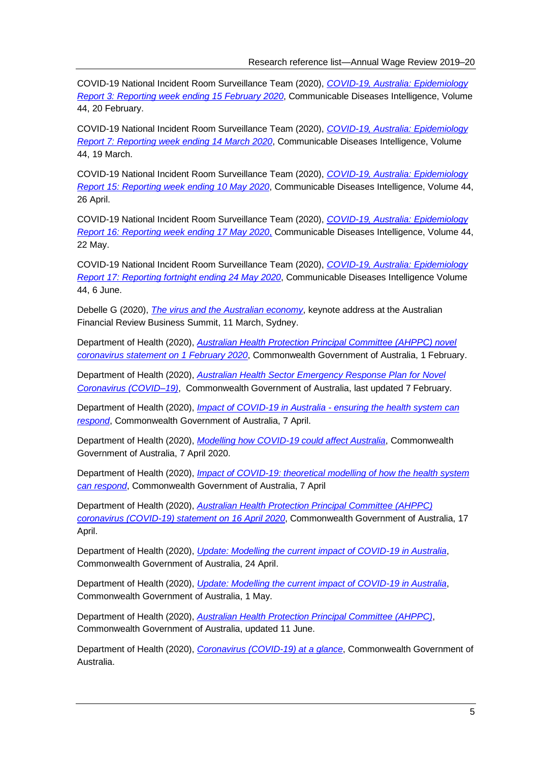COVID-19 National Incident Room Surveillance Team (2020), *[COVID-19, Australia: Epidemiology](https://www1.health.gov.au/internet/main/publishing.nsf/Content/1D03BCB527F40C8BCA258503000302EB/$File/covid_19_australia_epi_report_3_reporting_week_ending_1900_aedt_15_feb_2020.pdf)  [Report 3: Reporting week ending 15 February 2020](https://www1.health.gov.au/internet/main/publishing.nsf/Content/1D03BCB527F40C8BCA258503000302EB/$File/covid_19_australia_epi_report_3_reporting_week_ending_1900_aedt_15_feb_2020.pdf)*, Communicable Diseases Intelligence, Volume 44, 20 February.

COVID-19 National Incident Room Surveillance Team (2020), *[COVID-19, Australia: Epidemiology](https://www1.health.gov.au/internet/main/publishing.nsf/Content/1D03BCB527F40C8BCA258503000302EB/$File/covid_19_australia_epidemiology_report_7_reporting_week_ending_19_00_aedt_14_march_2020.pdf)  [Report 7: Reporting week ending 14 March 2020](https://www1.health.gov.au/internet/main/publishing.nsf/Content/1D03BCB527F40C8BCA258503000302EB/$File/covid_19_australia_epidemiology_report_7_reporting_week_ending_19_00_aedt_14_march_2020.pdf)*, Communicable Diseases Intelligence, Volume 44, 19 March.

COVID-19 National Incident Room Surveillance Team (2020), *[COVID-19, Australia: Epidemiology](https://www1.health.gov.au/internet/main/publishing.nsf/Content/1D03BCB527F40C8BCA258503000302EB/$File/covid_19_australia_epidemiology_report_15_reporting_week_ending_23_59_aest_10_may_2020.pdf)  [Report 15: Reporting week ending 10 May 2020](https://www1.health.gov.au/internet/main/publishing.nsf/Content/1D03BCB527F40C8BCA258503000302EB/$File/covid_19_australia_epidemiology_report_15_reporting_week_ending_23_59_aest_10_may_2020.pdf)*, Communicable Diseases Intelligence, Volume 44, 26 April.

COVID-19 National Incident Room Surveillance Team (2020), *[COVID-19, Australia: Epidemiology](https://www1.health.gov.au/internet/main/publishing.nsf/Content/1D03BCB527F40C8BCA258503000302EB/$File/covid_19_australia_epidemiology_report_16_reporting_week_ending_23_59_aest_17_may_2020.pdf)  [Report 16: Reporting week ending 17 May 2020](https://www1.health.gov.au/internet/main/publishing.nsf/Content/1D03BCB527F40C8BCA258503000302EB/$File/covid_19_australia_epidemiology_report_16_reporting_week_ending_23_59_aest_17_may_2020.pdf)*, Communicable Diseases Intelligence, Volume 44, 22 May.

COVID-19 National Incident Room Surveillance Team (2020), *[COVID-19, Australia: Epidemiology](https://www1.health.gov.au/internet/main/publishing.nsf/Content/1D03BCB527F40C8BCA258503000302EB/$File/covid_19_australia_epidemiology_report_17_fortnightly_reporting_period_ending_24_may_2020.pdf)  [Report 17: Reporting fortnight ending 24 May 2020](https://www1.health.gov.au/internet/main/publishing.nsf/Content/1D03BCB527F40C8BCA258503000302EB/$File/covid_19_australia_epidemiology_report_17_fortnightly_reporting_period_ending_24_may_2020.pdf)*, Communicable Diseases Intelligence Volume 44, 6 June.

Debelle G (2020), *[The virus and the Australian economy](https://www.rba.gov.au/speeches/2020/sp-dg-2020-03-11.html)*, keynote address at the Australian Financial Review Business Summit, 11 March, Sydney.

Department of Health (2020), *[Australian Health Protection Principal Committee \(AHPPC\) novel](https://www.health.gov.au/sites/default/files/documents/2020/02/ahppc-novel-coronavirus-statement-on-1-february-2020-novel-coronavirus-update.pdf)  [coronavirus statement on 1 February 2020](https://www.health.gov.au/sites/default/files/documents/2020/02/ahppc-novel-coronavirus-statement-on-1-february-2020-novel-coronavirus-update.pdf)*, Commonwealth Government of Australia, 1 February.

Department of Health (2020), *[Australian Health Sector Emergency Response Plan for Novel](https://www.health.gov.au/sites/default/files/documents/2020/02/australian-health-sector-emergency-response-plan-for-novel-coronavirus-covid-19_2.pdf)  [Coronavirus \(COVID–19\)](https://www.health.gov.au/sites/default/files/documents/2020/02/australian-health-sector-emergency-response-plan-for-novel-coronavirus-covid-19_2.pdf)*, Commonwealth Government of Australia, last updated 7 February.

Department of Health (2020), *[Impact of COVID-19 in Australia -](https://www.health.gov.au/resources/publications/impact-of-covid-19-in-australia-ensuring-the-health-system-can-respond) ensuring the health system can [respond](https://www.health.gov.au/resources/publications/impact-of-covid-19-in-australia-ensuring-the-health-system-can-respond)*, Commonwealth Government of Australia, 7 April.

Department of Health (2020), *[Modelling how COVID-19 could affect Australia](https://www.health.gov.au/news/modelling-how-covid-19-could-affect-australia)*, Commonwealth Government of Australia, 7 April 2020.

Department of Health (2020), *[Impact of COVID-19: theoretical modelling of how the health system](https://www.health.gov.au/sites/default/files/documents/2020/04/impact-of-covid-19-in-australia-ensuring-the-health-system-can-respond-summary-report.pdf)  [can respond](https://www.health.gov.au/sites/default/files/documents/2020/04/impact-of-covid-19-in-australia-ensuring-the-health-system-can-respond-summary-report.pdf)*, Commonwealth Government of Australia, 7 April

Department of Health (2020), *[Australian Health Protection Principal Committee \(AHPPC\)](https://www.health.gov.au/news/australian-health-protection-principal-committee-ahppc-coronavirus-covid-19-statement-on-16-april-2020)  [coronavirus \(COVID-19\) statement on 16 April 2020](https://www.health.gov.au/news/australian-health-protection-principal-committee-ahppc-coronavirus-covid-19-statement-on-16-april-2020)*, Commonwealth Government of Australia, 17 April.

Department of Health (2020), *[Update: Modelling the current impact of COVID-19 in Australia](https://www.health.gov.au/sites/default/files/documents/2020/04/update-modelling-the-current-impact-of-covid-19-in-australia.pdf)*, Commonwealth Government of Australia, 24 April.

Department of Health (2020), *[Update: Modelling the current impact of COVID-19 in Australia](https://www.health.gov.au/sites/default/files/documents/2020/05/1-may-2020-update-modelling-the-current-impact-of-covid-19-in-australia.pdf)*, Commonwealth Government of Australia, 1 May.

Department of Health (2020), *[Australian Health Protection Principal Committee \(AHPPC\)](https://www.health.gov.au/committees-and-groups/australian-health-protection-principal-committee-ahppc)*, Commonwealth Government of Australia, updated 11 June.

Department of Health (2020), *[Coronavirus \(COVID-19\) at a glance](https://www.health.gov.au/resources/publications/coronavirus-covid-19-at-a-glance)*, Commonwealth Government of Australia.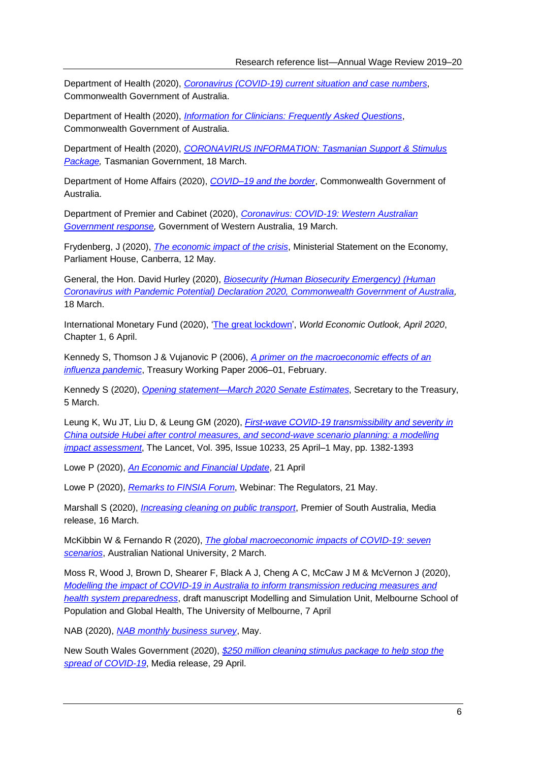Department of Health (2020), *[Coronavirus \(COVID-19\) current situation and case numbers](https://www.health.gov.au/news/health-alerts/novel-coronavirus-2019-ncov-health-alert/coronavirus-covid-19-current-situation-and-case-numbers)*, Commonwealth Government of Australia.

Department of Health (2020), *[Information for Clinicians: Frequently Asked Questions](https://www.health.gov.au/sites/default/files/documents/2020/03/coronavirus-covid-19-information-for-clinicians.pdf)*, Commonwealth Government of Australia.

Department of Health (2020), *[CORONAVIRUS INFORMATION: Tasmanian Support & Stimulus](http://www.premier.tas.gov.au/documents/FACT_SHEETS_-_STIMULUS_PACKAGES_Final-V2.0.pdf)  [Package,](http://www.premier.tas.gov.au/documents/FACT_SHEETS_-_STIMULUS_PACKAGES_Final-V2.0.pdf)* Tasmanian Government, 18 March.

Department of Home Affairs (2020), *[COVID–19 and the border](https://covid19.homeaffairs.gov.au/)*, Commonwealth Government of Australia.

Department of Premier and Cabinet (2020), *[Coronavirus: COVID-19: Western Australian](https://www.wa.gov.au/organisation/department-of-the-premier-and-cabinet/coronavirus-covid-19-western-australian-government-response)  [Government response,](https://www.wa.gov.au/organisation/department-of-the-premier-and-cabinet/coronavirus-covid-19-western-australian-government-response)* Government of Western Australia, 19 March.

Frydenberg, J (2020), *[The economic impact of the crisis](https://ministers.treasury.gov.au/ministers/josh-frydenberg-2018/speeches/ministerial-statement-economy-parliament-house-canberra)*, Ministerial Statement on the Economy, Parliament House, Canberra, 12 May.

General, the Hon. David Hurley (2020), *[Biosecurity \(Human Biosecurity Emergency\) \(Human](https://www.legislation.gov.au/Details/F2020L00266)  [Coronavirus with Pandemic Potential\) Declaration 2020, Commonwealth Government of Australia,](https://www.legislation.gov.au/Details/F2020L00266)*  18 March.

International Monetary Fund (2020), ['The great lockdown',](https://www.imf.org/en/Publications/WEO/Issues/2020/04/14/weo-april-2020) *World Economic Outlook, April 2020*, Chapter 1, 6 April.

Kennedy S, Thomson J & Vujanovic P (2006), *[A primer on the macroeconomic effects of an](https://treasury.gov.au/sites/default/files/2019-03/TWP_01_2006.pdf)  [influenza pandemic](https://treasury.gov.au/sites/default/files/2019-03/TWP_01_2006.pdf)*, Treasury Working Paper 2006–01, February.

Kennedy S (2020), *[Opening statement—March 2020 Senate Estimates](https://treasury.gov.au/speech/opening-statement-march-2020-senate-estimates)*, Secretary to the Treasury, 5 March.

Leung K, Wu JT, Liu D, & Leung GM (2020), *[First-wave COVID-19 transmissibility and severity in](https://www.sciencedirect.com/science/article/pii/S0140673620307467)  [China outside Hubei after control measures, and second-wave scenario planning: a modelling](https://www.sciencedirect.com/science/article/pii/S0140673620307467)  [impact assessment](https://www.sciencedirect.com/science/article/pii/S0140673620307467)*, The Lancet, Vol. 395, Issue 10233, 25 April–1 May, pp. 1382-1393

Lowe P (2020), *[An Economic and Financial Update](https://www.rba.gov.au/speeches/2020/sp-gov-2020-04-21.html)*, 21 April

Lowe P (2020), *[Remarks to FINSIA Forum](https://www.rba.gov.au/speeches/2020/sp-gov-2020-05-21.html)*, Webinar: The Regulators, 21 May.

Marshall S (2020), *[Increasing cleaning on public transport](https://www.premier.sa.gov.au/news/media-releases/news/increasing-cleaning-on-public-transport)*, Premier of South Australia, Media release, 16 March.

McKibbin W & Fernando R (2020), *[The global macroeconomic impacts of COVID-19: seven](https://www.brookings.edu/wp-content/uploads/2020/03/20200302_COVID19.pdf)  [scenarios](https://www.brookings.edu/wp-content/uploads/2020/03/20200302_COVID19.pdf)*, Australian National University, 2 March.

Moss R, Wood J, Brown D, Shearer F, Black A J, Cheng A C, McCaw J M & McVernon J (2020), *[Modelling the impact of COVID-19 in Australia to inform transmission reducing measures and](https://www.doherty.edu.au/uploads/content_doc/McVernon_Modelling_COVID-19_07Apr1_with_appendix.pdf)  [health system preparedness](https://www.doherty.edu.au/uploads/content_doc/McVernon_Modelling_COVID-19_07Apr1_with_appendix.pdf)*, draft manuscript Modelling and Simulation Unit, Melbourne School of Population and Global Health, The University of Melbourne, 7 April

NAB (2020), *[NAB monthly business survey](https://business.nab.com.au/wp-content/uploads/2020/06/nab-monthly-business-survey-may-2020.pdf)*, May.

New South Wales Government (2020), *[\\$250 million cleaning stimulus package to help stop the](https://www.nsw.gov.au/media-releases/250-million-cleaning-stimulus-package-to-help-stop-spread-of-covid-19)  [spread of COVID-19](https://www.nsw.gov.au/media-releases/250-million-cleaning-stimulus-package-to-help-stop-spread-of-covid-19)*, Media release, 29 April.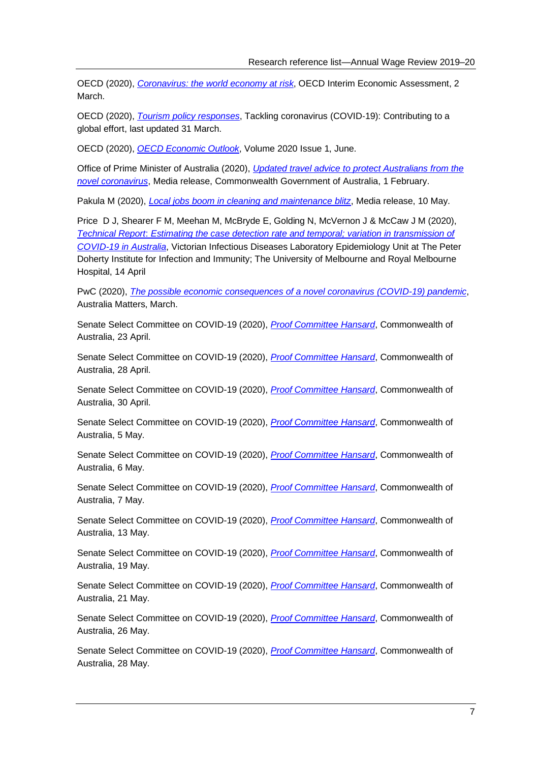OECD (2020), *[Coronavirus: the world economy at risk](https://www.oecd.org/berlin/publikationen/Interim-Economic-Assessment-2-March-2020.pdf)*, OECD Interim Economic Assessment, 2 March.

OECD (2020), *[Tourism policy responses](https://read.oecd-ilibrary.org/view/?ref=124_124984-7uf8nm95se&title=Covid-19_Tourism_Policy_Responses)*, Tackling coronavirus (COVID‑19): Contributing to a global effort, last updated 31 March.

OECD (2020), *[OECD Economic Outlook](https://www.oecd-ilibrary.org/sites/0d1d1e2e-en/index.html?itemId=/content/publication/0d1d1e2e-en)*, Volume 2020 Issue 1, June.

Office of Prime Minister of Australia (2020), *[Updated travel advice to protect Australians from the](https://www.pm.gov.au/media/updated-travel-advice-protect-australians-novel-coronavirus)  [novel coronavirus](https://www.pm.gov.au/media/updated-travel-advice-protect-australians-novel-coronavirus)*, Media release, Commonwealth Government of Australia, 1 February.

Pakula M (2020), *[Local jobs boom in cleaning and maintenance blitz](https://www.premier.vic.gov.au/local-jobs-boom-in-cleaning-and-maintenance-blitz/)*, Media release, 10 May.

Price D J, Shearer F M, Meehan M, McBryde E, Golding N, McVernon J & McCaw J M (2020), *Technical Report*: *[Estimating the case detection rate and temporal; variation in transmission of](https://www.doherty.edu.au/uploads/content_doc/Estimating_changes_in_the_transmission_of_COVID-19_April14-public-release.pdf)  [COVID-19 in Australia](https://www.doherty.edu.au/uploads/content_doc/Estimating_changes_in_the_transmission_of_COVID-19_April14-public-release.pdf)*, Victorian Infectious Diseases Laboratory Epidemiology Unit at The Peter Doherty Institute for Infection and Immunity; The University of Melbourne and Royal Melbourne Hospital, 14 April

PwC (2020), *[The possible economic consequences of a novel coronavirus \(COVID-19\) pandemic](https://www.pwc.com.au/publications/australia-matters/economic-consequences-coronavirus-COVID-19-pandemic.pdf)*, Australia Matters, March.

Senate Select Committee on COVID-19 (2020), *[Proof Committee Hansard](https://parlinfo.aph.gov.au/parlInfo/download/committees/commsen/75585d2b-2ea4-429c-bc62-d82fe6ee120d/toc_pdf/Senate%20Select%20Committee%20on%20COVID-19_2020_04_23_7675.pdf;fileType=application%2Fpdf#search=%22committees/commsen/75585d2b-2ea4-429c-bc62-d82fe6ee120d/0000%22)*, Commonwealth of Australia, 23 April.

Senate Select Committee on COVID-19 (2020), *[Proof Committee Hansard](https://parlinfo.aph.gov.au/parlInfo/download/committees/commsen/422cff82-46f7-404d-9ca7-c83f558e9551/toc_pdf/Senate%20Select%20Committee%20on%20COVID-19_2020_04_28_7677.pdf;fileType=application%2Fpdf#search=%22committees/commsen/422cff82-46f7-404d-9ca7-c83f558e9551/0000%22)*, Commonwealth of Australia, 28 April.

Senate Select Committee on COVID-19 (2020), *[Proof Committee Hansard](https://parlinfo.aph.gov.au/parlInfo/download/committees/commsen/b0812db7-cb32-44e2-b624-15b7913cf122/toc_pdf/Senate%20Select%20Committee%20on%20COVID-19_2020_04_30_7681.pdf;fileType=application%2Fpdf#search=%22committees/commsen/b0812db7-cb32-44e2-b624-15b7913cf122/0000%22)*, Commonwealth of Australia, 30 April.

Senate Select Committee on COVID-19 (2020), *[Proof Committee Hansard](https://parlinfo.aph.gov.au/parlInfo/download/committees/commsen/8e0eeacd-c687-45fa-92ce-2c969b8f1931/toc_pdf/Senate%20Select%20Committee%20on%20COVID-19_2020_05_05_7685.pdf;fileType=application%2Fpdf#search=%22committees/commsen/8e0eeacd-c687-45fa-92ce-2c969b8f1931/0000%22)*, Commonwealth of Australia, 5 May.

Senate Select Committee on COVID-19 (2020), *[Proof Committee Hansard](https://parlinfo.aph.gov.au/parlInfo/download/committees/commsen/21693643-a9ab-41e2-8440-77267c6c7b37/toc_pdf/Senate%20Select%20Committee%20on%20COVID-19_2020_05_06_7691.pdf;fileType=application%2Fpdf#search=%22committees/commsen/21693643-a9ab-41e2-8440-77267c6c7b37/0000%22)*, Commonwealth of Australia, 6 May.

Senate Select Committee on COVID-19 (2020), *[Proof Committee Hansard](https://parlinfo.aph.gov.au/parlInfo/download/committees/commsen/0c5c7e36-6300-484b-b9c3-ed5847b7ce91/toc_pdf/Senate%20Select%20Committee%20on%20COVID-19_2020_05_07_7696.pdf;fileType=application%2Fpdf#search=%22committees/commsen/0c5c7e36-6300-484b-b9c3-ed5847b7ce91/0000%22)*, Commonwealth of Australia, 7 May.

Senate Select Committee on COVID-19 (2020), *[Proof Committee Hansard](https://parlinfo.aph.gov.au/parlInfo/download/committees/commsen/608011bb-99d9-4b10-9fa8-521eaa899fa5/toc_pdf/Senate%20Select%20Committee%20on%20COVID-19_2020_05_13_7706.pdf;fileType=application%2Fpdf#search=%22committees/commsen/608011bb-99d9-4b10-9fa8-521eaa899fa5/0000%22)*, Commonwealth of Australia, 13 May.

Senate Select Committee on COVID-19 (2020), *[Proof Committee Hansard](https://parlinfo.aph.gov.au/parlInfo/download/committees/commsen/25fdbd8a-a6dc-4b78-9fb2-fa01684ea9eb/toc_pdf/Senate%20Select%20Committee%20on%20COVID-19_2020_05_19_7726.pdf;fileType=application%2Fpdf#search=%22committees/commsen/25fdbd8a-a6dc-4b78-9fb2-fa01684ea9eb/0000%22)*, Commonwealth of Australia, 19 May.

Senate Select Committee on COVID-19 (2020), *[Proof Committee Hansard](https://parlinfo.aph.gov.au/parlInfo/download/committees/commsen/f63b426d-5d7e-4840-922e-ec307fb3b530/toc_pdf/Senate%20Select%20Committee%20on%20COVID-19_2020_05_21_7729.pdf;fileType=application%2Fpdf#search=%22committees/commsen/f63b426d-5d7e-4840-922e-ec307fb3b530/0000%22)*, Commonwealth of Australia, 21 May.

Senate Select Committee on COVID-19 (2020), *[Proof Committee Hansard](https://parlinfo.aph.gov.au/parlInfo/download/committees/commsen/075080e7-f52b-4050-bf13-0211794d6768/toc_pdf/Senate%20Select%20Committee%20on%20COVID-19_2020_05_26_7737.pdf;fileType=application%2Fpdf#search=%22committees/commsen/075080e7-f52b-4050-bf13-0211794d6768/0000%22)*, Commonwealth of Australia, 26 May.

Senate Select Committee on COVID-19 (2020), *[Proof Committee Hansard](https://parlinfo.aph.gov.au/parlInfo/download/committees/commsen/a3af0917-dc51-4d01-a86f-69153eb93040/toc_pdf/Senate%20Select%20Committee%20on%20COVID-19_2020_05_28_7741.pdf;fileType=application%2Fpdf#search=%22committees/commsen/a3af0917-dc51-4d01-a86f-69153eb93040/0000%22)*, Commonwealth of Australia, 28 May.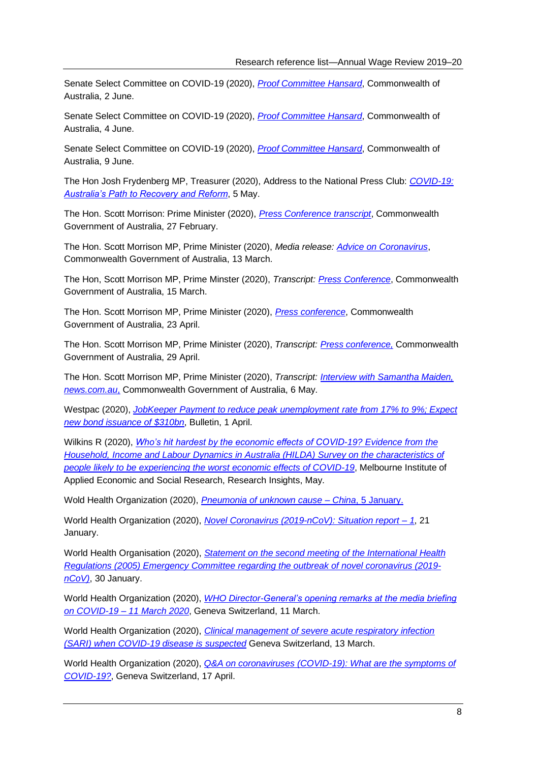Senate Select Committee on COVID-19 (2020), *[Proof Committee Hansard](https://parlinfo.aph.gov.au/parlInfo/download/committees/commsen/b913893e-51b9-402e-ab95-3de8f4bb58b5/toc_pdf/Senate%20Select%20Committee%20on%20COVID-19_2020_06_02_7747.pdf;fileType=application%2Fpdf#search=%22committees/commsen/b913893e-51b9-402e-ab95-3de8f4bb58b5/0000%22)*, Commonwealth of Australia, 2 June.

Senate Select Committee on COVID-19 (2020), *[Proof Committee Hansard](https://parlinfo.aph.gov.au/parlInfo/download/committees/commsen/bae35510-5f64-42b5-9217-1fcb8e6b7de6/toc_pdf/Senate%20Select%20Committee%20on%20COVID-19_2020_06_04_7752.pdf;fileType=application%2Fpdf#search=%22committees/commsen/bae35510-5f64-42b5-9217-1fcb8e6b7de6/0000%22)*, Commonwealth of Australia, 4 June.

Senate Select Committee on COVID-19 (2020), *[Proof Committee Hansard](https://parlinfo.aph.gov.au/parlInfo/download/committees/commsen/76537230-2985-4353-9281-8eae043897d2/toc_pdf/Senate%20Select%20Committee%20on%20COVID-19_2020_06_09_7757.pdf;fileType=application%2Fpdf#search=%22committees/commsen/76537230-2985-4353-9281-8eae043897d2/0000%22)*, Commonwealth of Australia, 9 June.

The Hon Josh Frydenberg MP, Treasurer (2020), Address to the National Press Club: *[COVID-19:](https://ministers.treasury.gov.au/ministers/josh-frydenberg-2018/speeches/address-national-press-club)  [Australia's Path to Recovery and Reform](https://ministers.treasury.gov.au/ministers/josh-frydenberg-2018/speeches/address-national-press-club)*, 5 May.

The Hon. Scott Morrison: Prime Minister (2020), *P*r*[ess Conference transcript](https://www.pm.gov.au/media/press-conference-australian-parliament-house-4)*, Commonwealth Government of Australia, 27 February.

The Hon. Scott Morrison MP, Prime Minister (2020), *Media release: [Advice on Coronavirus](https://www.pm.gov.au/media/advice-coronavirus)*, Commonwealth Government of Australia, 13 March.

The Hon, Scott Morrison MP, Prime Minster (2020), *Transcript: [Press Conference](https://www.pm.gov.au/media/transcript-press-conference)*, Commonwealth Government of Australia, 15 March.

The Hon. Scott Morrison MP, Prime Minister (2020), *[Press conference](https://www.pm.gov.au/media/press-conference-australian-parliament-house-act-23april)*, Commonwealth Government of Australia, 23 April.

The Hon. Scott Morrison MP, Prime Minister (2020), *Transcript: [Press conference,](https://www.pm.gov.au/media/press-conference-australian-parliament-house-act-290420)* Commonwealth Government of Australia, 29 April.

The Hon. Scott Morrison MP, Prime Minister (2020), *Transcript: [Interview with Samantha Maiden,](https://www.pm.gov.au/media/interview-samantha-maiden-newscomau)  [news.com.au](https://www.pm.gov.au/media/interview-samantha-maiden-newscomau)*, Commonwealth Government of Australia, 6 May.

Westpac (2020), *[JobKeeper Payment to reduce peak unemployment rate from 17% to 9%; Expect](https://westpaciq.westpac.com.au/wibiqauthoring/_uploads/file/Australia/2020/April/er20200401BullJobKeepersPaymentBondIssuance.pdf)  [new bond issuance of \\$310bn](https://westpaciq.westpac.com.au/wibiqauthoring/_uploads/file/Australia/2020/April/er20200401BullJobKeepersPaymentBondIssuance.pdf)*, Bulletin, 1 April.

Wilkins R (2020), *[Who's hit hardest by the economic effects of COVID-19? Evidence from the](https://melbourneinstitute.unimelb.edu.au/__data/assets/pdf_file/0006/3387039/ri2020n10.pdf)  [Household, Income and Labour Dynamics in Australia \(HILDA\) Survey on the characteristics of](https://melbourneinstitute.unimelb.edu.au/__data/assets/pdf_file/0006/3387039/ri2020n10.pdf)  [people likely to be experiencing the worst economic effects of COVID-19](https://melbourneinstitute.unimelb.edu.au/__data/assets/pdf_file/0006/3387039/ri2020n10.pdf)*, Melbourne Institute of Applied Economic and Social Research, Research Insights, May.

Wold Health Organization (2020), *[Pneumonia of unknown cause –](https://www.who.int/csr/don/05-january-2020-pneumonia-of-unkown-cause-china/en/) China*, 5 January.

World Health Organization (2020), *[Novel Coronavirus \(2019-nCoV\): Situation report –](https://www.who.int/docs/default-source/coronaviruse/situation-reports/20200121-sitrep-1-2019-ncov.pdf) 1*, 21 January.

World Health Organisation (2020), *[Statement on the second meeting of the International Health](https://www.who.int/news-room/detail/30-01-2020-statement-on-the-second-meeting-of-the-international-health-regulations-(2005)-emergency-committee-regarding-the-outbreak-of-novel-coronavirus-(2019-ncov))  [Regulations \(2005\) Emergency Committee regarding the outbreak of novel coronavirus \(2019](https://www.who.int/news-room/detail/30-01-2020-statement-on-the-second-meeting-of-the-international-health-regulations-(2005)-emergency-committee-regarding-the-outbreak-of-novel-coronavirus-(2019-ncov)) [nCoV\)](https://www.who.int/news-room/detail/30-01-2020-statement-on-the-second-meeting-of-the-international-health-regulations-(2005)-emergency-committee-regarding-the-outbreak-of-novel-coronavirus-(2019-ncov))*, 30 January.

World Health Organization (2020), *[WHO Director-General's opening remarks at the media briefing](https://www.who.int/dg/speeches/detail/who-director-general-s-opening-remarks-at-the-media-briefing-on-covid-19---11-march-2020)  [on COVID-19 –](https://www.who.int/dg/speeches/detail/who-director-general-s-opening-remarks-at-the-media-briefing-on-covid-19---11-march-2020) 11 March 2020*, Geneva Switzerland, 11 March.

World Health Organization (2020), *[Clinical management of severe acute respiratory infection](https://www.who.int/publications-detail/clinical-management-of-severe-acute-respiratory-infection-when-novel-coronavirus-(ncov)-infection-is-suspected)  [\(SARI\) when COVID-19 disease is suspected](https://www.who.int/publications-detail/clinical-management-of-severe-acute-respiratory-infection-when-novel-coronavirus-(ncov)-infection-is-suspected)* Geneva Switzerland, 13 March.

World Health Organization (2020), *[Q&A on coronaviruses \(COVID-19\): What are the symptoms of](https://www.who.int/news-room/q-a-detail/q-a-coronaviruses)  [COVID-19?](https://www.who.int/news-room/q-a-detail/q-a-coronaviruses)*, Geneva Switzerland, 17 April.